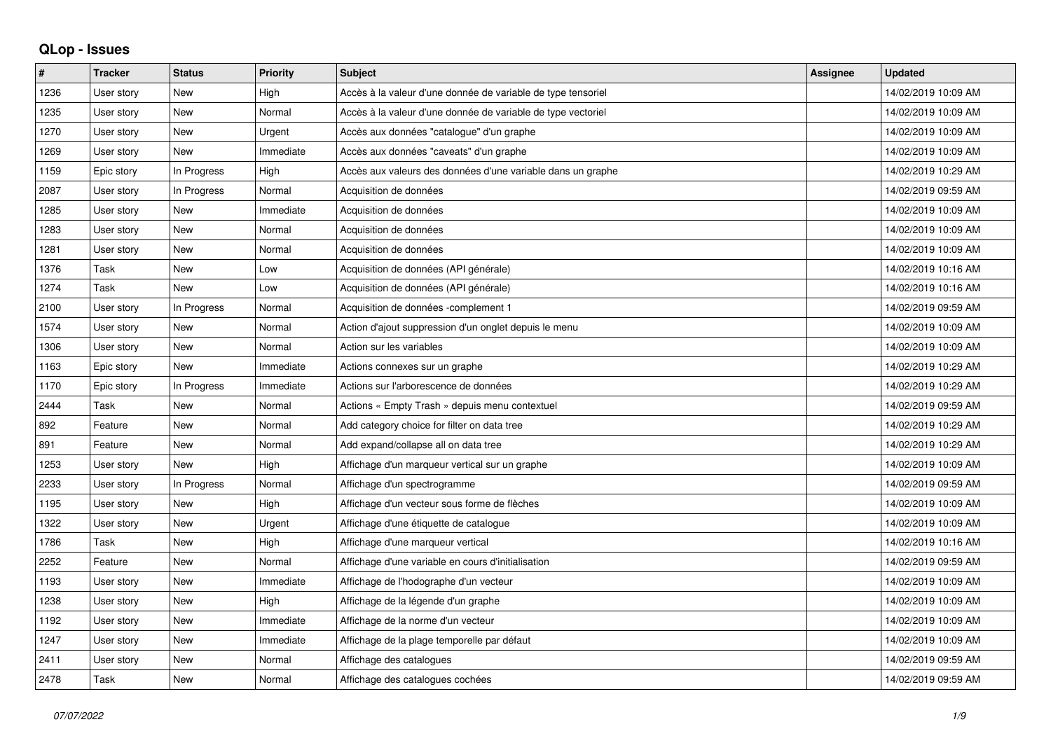## **QLop - Issues**

| $\pmb{\#}$ | <b>Tracker</b> | <b>Status</b> | <b>Priority</b> | <b>Subject</b>                                               | <b>Assignee</b> | <b>Updated</b>      |
|------------|----------------|---------------|-----------------|--------------------------------------------------------------|-----------------|---------------------|
| 1236       | User story     | New           | High            | Accès à la valeur d'une donnée de variable de type tensoriel |                 | 14/02/2019 10:09 AM |
| 1235       | User story     | <b>New</b>    | Normal          | Accès à la valeur d'une donnée de variable de type vectoriel |                 | 14/02/2019 10:09 AM |
| 1270       | User story     | New           | Urgent          | Accès aux données "catalogue" d'un graphe                    |                 | 14/02/2019 10:09 AM |
| 1269       | User story     | New           | Immediate       | Accès aux données "caveats" d'un graphe                      |                 | 14/02/2019 10:09 AM |
| 1159       | Epic story     | In Progress   | High            | Accès aux valeurs des données d'une variable dans un graphe  |                 | 14/02/2019 10:29 AM |
| 2087       | User story     | In Progress   | Normal          | Acquisition de données                                       |                 | 14/02/2019 09:59 AM |
| 1285       | User story     | New           | Immediate       | Acquisition de données                                       |                 | 14/02/2019 10:09 AM |
| 1283       | User story     | New           | Normal          | Acquisition de données                                       |                 | 14/02/2019 10:09 AM |
| 1281       | User story     | New           | Normal          | Acquisition de données                                       |                 | 14/02/2019 10:09 AM |
| 1376       | Task           | <b>New</b>    | Low             | Acquisition de données (API générale)                        |                 | 14/02/2019 10:16 AM |
| 1274       | Task           | <b>New</b>    | Low             | Acquisition de données (API générale)                        |                 | 14/02/2019 10:16 AM |
| 2100       | User story     | In Progress   | Normal          | Acquisition de données -complement 1                         |                 | 14/02/2019 09:59 AM |
| 1574       | User story     | <b>New</b>    | Normal          | Action d'ajout suppression d'un onglet depuis le menu        |                 | 14/02/2019 10:09 AM |
| 1306       | User story     | <b>New</b>    | Normal          | Action sur les variables                                     |                 | 14/02/2019 10:09 AM |
| 1163       | Epic story     | New           | Immediate       | Actions connexes sur un graphe                               |                 | 14/02/2019 10:29 AM |
| 1170       | Epic story     | In Progress   | Immediate       | Actions sur l'arborescence de données                        |                 | 14/02/2019 10:29 AM |
| 2444       | Task           | <b>New</b>    | Normal          | Actions « Empty Trash » depuis menu contextuel               |                 | 14/02/2019 09:59 AM |
| 892        | Feature        | New           | Normal          | Add category choice for filter on data tree                  |                 | 14/02/2019 10:29 AM |
| 891        | Feature        | <b>New</b>    | Normal          | Add expand/collapse all on data tree                         |                 | 14/02/2019 10:29 AM |
| 1253       | User story     | New           | High            | Affichage d'un marqueur vertical sur un graphe               |                 | 14/02/2019 10:09 AM |
| 2233       | User story     | In Progress   | Normal          | Affichage d'un spectrogramme                                 |                 | 14/02/2019 09:59 AM |
| 1195       | User story     | New           | High            | Affichage d'un vecteur sous forme de flèches                 |                 | 14/02/2019 10:09 AM |
| 1322       | User story     | New           | Urgent          | Affichage d'une étiquette de catalogue                       |                 | 14/02/2019 10:09 AM |
| 1786       | Task           | New           | High            | Affichage d'une marqueur vertical                            |                 | 14/02/2019 10:16 AM |
| 2252       | Feature        | <b>New</b>    | Normal          | Affichage d'une variable en cours d'initialisation           |                 | 14/02/2019 09:59 AM |
| 1193       | User story     | New           | Immediate       | Affichage de l'hodographe d'un vecteur                       |                 | 14/02/2019 10:09 AM |
| 1238       | User story     | New           | High            | Affichage de la légende d'un graphe                          |                 | 14/02/2019 10:09 AM |
| 1192       | User story     | <b>New</b>    | Immediate       | Affichage de la norme d'un vecteur                           |                 | 14/02/2019 10:09 AM |
| 1247       | User story     | New           | Immediate       | Affichage de la plage temporelle par défaut                  |                 | 14/02/2019 10:09 AM |
| 2411       | User story     | New           | Normal          | Affichage des catalogues                                     |                 | 14/02/2019 09:59 AM |
| 2478       | Task           | <b>New</b>    | Normal          | Affichage des catalogues cochées                             |                 | 14/02/2019 09:59 AM |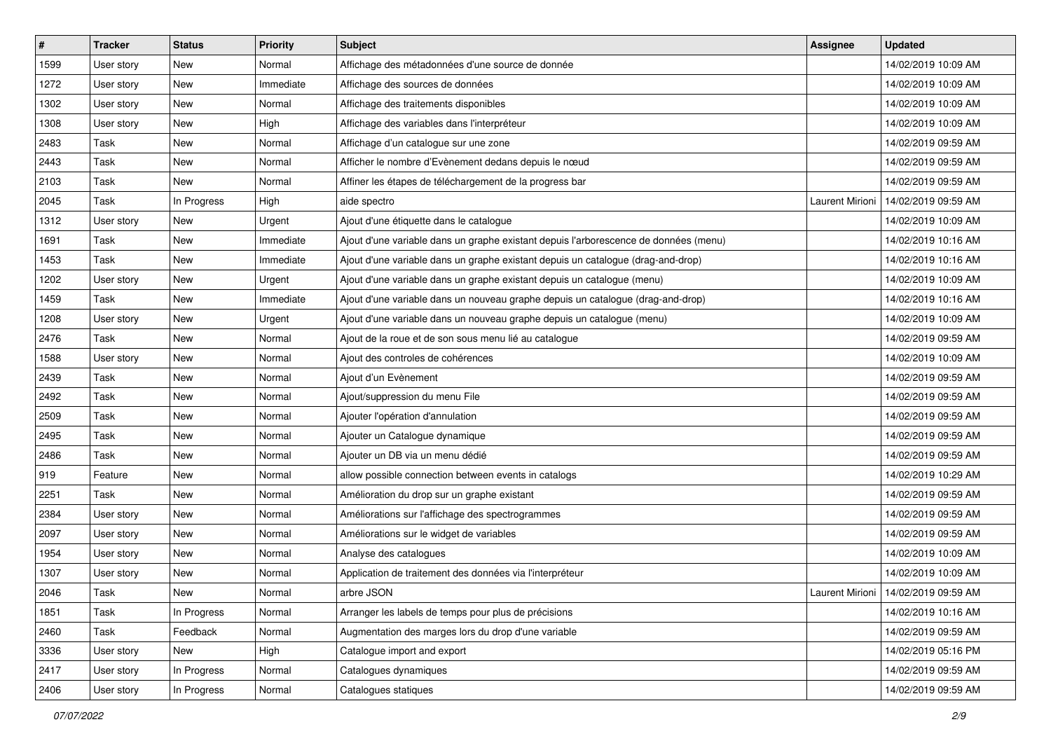| $\vert$ # | <b>Tracker</b> | <b>Status</b> | <b>Priority</b> | <b>Subject</b>                                                                       | Assignee        | <b>Updated</b>                        |
|-----------|----------------|---------------|-----------------|--------------------------------------------------------------------------------------|-----------------|---------------------------------------|
| 1599      | User story     | New           | Normal          | Affichage des métadonnées d'une source de donnée                                     |                 | 14/02/2019 10:09 AM                   |
| 1272      | User story     | <b>New</b>    | Immediate       | Affichage des sources de données                                                     |                 | 14/02/2019 10:09 AM                   |
| 1302      | User story     | New           | Normal          | Affichage des traitements disponibles                                                |                 | 14/02/2019 10:09 AM                   |
| 1308      | User story     | <b>New</b>    | High            | Affichage des variables dans l'interpréteur                                          |                 | 14/02/2019 10:09 AM                   |
| 2483      | Task           | <b>New</b>    | Normal          | Affichage d'un catalogue sur une zone                                                |                 | 14/02/2019 09:59 AM                   |
| 2443      | Task           | New           | Normal          | Afficher le nombre d'Evènement dedans depuis le nœud                                 |                 | 14/02/2019 09:59 AM                   |
| 2103      | Task           | New           | Normal          | Affiner les étapes de téléchargement de la progress bar                              |                 | 14/02/2019 09:59 AM                   |
| 2045      | Task           | In Progress   | High            | aide spectro                                                                         | Laurent Mirioni | 14/02/2019 09:59 AM                   |
| 1312      | User story     | <b>New</b>    | Urgent          | Ajout d'une étiquette dans le catalogue                                              |                 | 14/02/2019 10:09 AM                   |
| 1691      | Task           | <b>New</b>    | Immediate       | Ajout d'une variable dans un graphe existant depuis l'arborescence de données (menu) |                 | 14/02/2019 10:16 AM                   |
| 1453      | Task           | <b>New</b>    | Immediate       | Ajout d'une variable dans un graphe existant depuis un catalogue (drag-and-drop)     |                 | 14/02/2019 10:16 AM                   |
| 1202      | User story     | New           | Urgent          | Ajout d'une variable dans un graphe existant depuis un catalogue (menu)              |                 | 14/02/2019 10:09 AM                   |
| 1459      | Task           | New           | Immediate       | Ajout d'une variable dans un nouveau graphe depuis un catalogue (drag-and-drop)      |                 | 14/02/2019 10:16 AM                   |
| 1208      | User story     | <b>New</b>    | Urgent          | Ajout d'une variable dans un nouveau graphe depuis un catalogue (menu)               |                 | 14/02/2019 10:09 AM                   |
| 2476      | Task           | <b>New</b>    | Normal          | Ajout de la roue et de son sous menu lié au catalogue                                |                 | 14/02/2019 09:59 AM                   |
| 1588      | User story     | New           | Normal          | Ajout des controles de cohérences                                                    |                 | 14/02/2019 10:09 AM                   |
| 2439      | Task           | New           | Normal          | Ajout d'un Evènement                                                                 |                 | 14/02/2019 09:59 AM                   |
| 2492      | Task           | <b>New</b>    | Normal          | Ajout/suppression du menu File                                                       |                 | 14/02/2019 09:59 AM                   |
| 2509      | Task           | New           | Normal          | Ajouter l'opération d'annulation                                                     |                 | 14/02/2019 09:59 AM                   |
| 2495      | Task           | <b>New</b>    | Normal          | Ajouter un Catalogue dynamique                                                       |                 | 14/02/2019 09:59 AM                   |
| 2486      | Task           | New           | Normal          | Ajouter un DB via un menu dédié                                                      |                 | 14/02/2019 09:59 AM                   |
| 919       | Feature        | New           | Normal          | allow possible connection between events in catalogs                                 |                 | 14/02/2019 10:29 AM                   |
| 2251      | Task           | <b>New</b>    | Normal          | Amélioration du drop sur un graphe existant                                          |                 | 14/02/2019 09:59 AM                   |
| 2384      | User story     | <b>New</b>    | Normal          | Améliorations sur l'affichage des spectrogrammes                                     |                 | 14/02/2019 09:59 AM                   |
| 2097      | User story     | <b>New</b>    | Normal          | Améliorations sur le widget de variables                                             |                 | 14/02/2019 09:59 AM                   |
| 1954      | User story     | New           | Normal          | Analyse des catalogues                                                               |                 | 14/02/2019 10:09 AM                   |
| 1307      | User story     | New           | Normal          | Application de traitement des données via l'interpréteur                             |                 | 14/02/2019 10:09 AM                   |
| 2046      | Task           | New           | Normal          | arbre JSON                                                                           |                 | Laurent Mirioni   14/02/2019 09:59 AM |
| 1851      | Task           | In Progress   | Normal          | Arranger les labels de temps pour plus de précisions                                 |                 | 14/02/2019 10:16 AM                   |
| 2460      | Task           | Feedback      | Normal          | Augmentation des marges lors du drop d'une variable                                  |                 | 14/02/2019 09:59 AM                   |
| 3336      | User story     | New           | High            | Catalogue import and export                                                          |                 | 14/02/2019 05:16 PM                   |
| 2417      | User story     | In Progress   | Normal          | Catalogues dynamiques                                                                |                 | 14/02/2019 09:59 AM                   |
| 2406      | User story     | In Progress   | Normal          | Catalogues statiques                                                                 |                 | 14/02/2019 09:59 AM                   |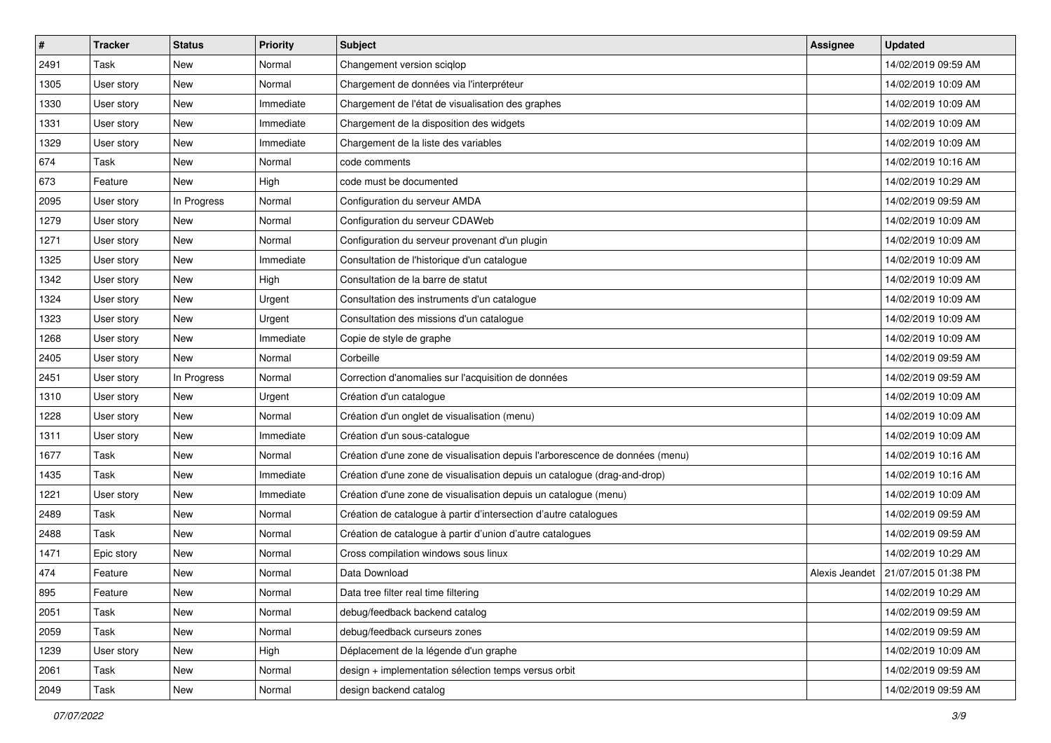| #    | <b>Tracker</b> | <b>Status</b> | <b>Priority</b> | <b>Subject</b>                                                               | Assignee       | <b>Updated</b>      |
|------|----------------|---------------|-----------------|------------------------------------------------------------------------------|----------------|---------------------|
| 2491 | Task           | New           | Normal          | Changement version sciqlop                                                   |                | 14/02/2019 09:59 AM |
| 1305 | User story     | <b>New</b>    | Normal          | Chargement de données via l'interpréteur                                     |                | 14/02/2019 10:09 AM |
| 1330 | User story     | New           | Immediate       | Chargement de l'état de visualisation des graphes                            |                | 14/02/2019 10:09 AM |
| 1331 | User story     | <b>New</b>    | Immediate       | Chargement de la disposition des widgets                                     |                | 14/02/2019 10:09 AM |
| 1329 | User story     | New           | Immediate       | Chargement de la liste des variables                                         |                | 14/02/2019 10:09 AM |
| 674  | Task           | New           | Normal          | code comments                                                                |                | 14/02/2019 10:16 AM |
| 673  | Feature        | New           | High            | code must be documented                                                      |                | 14/02/2019 10:29 AM |
| 2095 | User story     | In Progress   | Normal          | Configuration du serveur AMDA                                                |                | 14/02/2019 09:59 AM |
| 1279 | User story     | <b>New</b>    | Normal          | Configuration du serveur CDAWeb                                              |                | 14/02/2019 10:09 AM |
| 1271 | User story     | <b>New</b>    | Normal          | Configuration du serveur provenant d'un plugin                               |                | 14/02/2019 10:09 AM |
| 1325 | User story     | New           | Immediate       | Consultation de l'historique d'un catalogue                                  |                | 14/02/2019 10:09 AM |
| 1342 | User story     | <b>New</b>    | High            | Consultation de la barre de statut                                           |                | 14/02/2019 10:09 AM |
| 1324 | User story     | New           | Urgent          | Consultation des instruments d'un catalogue                                  |                | 14/02/2019 10:09 AM |
| 1323 | User story     | <b>New</b>    | Urgent          | Consultation des missions d'un catalogue                                     |                | 14/02/2019 10:09 AM |
| 1268 | User story     | <b>New</b>    | Immediate       | Copie de style de graphe                                                     |                | 14/02/2019 10:09 AM |
| 2405 | User story     | New           | Normal          | Corbeille                                                                    |                | 14/02/2019 09:59 AM |
| 2451 | User story     | In Progress   | Normal          | Correction d'anomalies sur l'acquisition de données                          |                | 14/02/2019 09:59 AM |
| 1310 | User story     | New           | Urgent          | Création d'un catalogue                                                      |                | 14/02/2019 10:09 AM |
| 1228 | User story     | <b>New</b>    | Normal          | Création d'un onglet de visualisation (menu)                                 |                | 14/02/2019 10:09 AM |
| 1311 | User story     | <b>New</b>    | Immediate       | Création d'un sous-catalogue                                                 |                | 14/02/2019 10:09 AM |
| 1677 | Task           | New           | Normal          | Création d'une zone de visualisation depuis l'arborescence de données (menu) |                | 14/02/2019 10:16 AM |
| 1435 | Task           | New           | Immediate       | Création d'une zone de visualisation depuis un catalogue (drag-and-drop)     |                | 14/02/2019 10:16 AM |
| 1221 | User story     | <b>New</b>    | Immediate       | Création d'une zone de visualisation depuis un catalogue (menu)              |                | 14/02/2019 10:09 AM |
| 2489 | Task           | New           | Normal          | Création de catalogue à partir d'intersection d'autre catalogues             |                | 14/02/2019 09:59 AM |
| 2488 | Task           | New           | Normal          | Création de catalogue à partir d'union d'autre catalogues                    |                | 14/02/2019 09:59 AM |
| 1471 | Epic story     | New           | Normal          | Cross compilation windows sous linux                                         |                | 14/02/2019 10:29 AM |
| 474  | Feature        | New           | Normal          | Data Download                                                                | Alexis Jeandet | 21/07/2015 01:38 PM |
| 895  | Feature        | New           | Normal          | Data tree filter real time filtering                                         |                | 14/02/2019 10:29 AM |
| 2051 | Task           | New           | Normal          | debug/feedback backend catalog                                               |                | 14/02/2019 09:59 AM |
| 2059 | Task           | New           | Normal          | debug/feedback curseurs zones                                                |                | 14/02/2019 09:59 AM |
| 1239 | User story     | New           | High            | Déplacement de la légende d'un graphe                                        |                | 14/02/2019 10:09 AM |
| 2061 | Task           | New           | Normal          | design + implementation sélection temps versus orbit                         |                | 14/02/2019 09:59 AM |
| 2049 | Task           | New           | Normal          | design backend catalog                                                       |                | 14/02/2019 09:59 AM |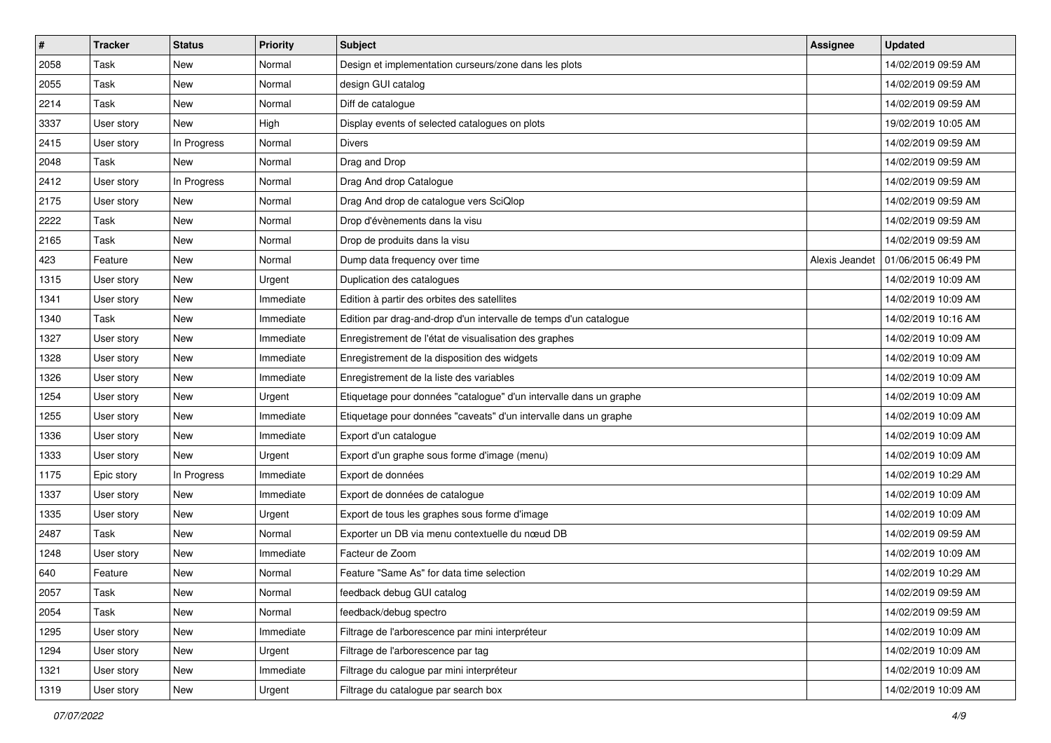| $\vert$ # | <b>Tracker</b> | <b>Status</b> | <b>Priority</b> | <b>Subject</b>                                                     | <b>Assignee</b> | <b>Updated</b>      |
|-----------|----------------|---------------|-----------------|--------------------------------------------------------------------|-----------------|---------------------|
| 2058      | Task           | New           | Normal          | Design et implementation curseurs/zone dans les plots              |                 | 14/02/2019 09:59 AM |
| 2055      | Task           | New           | Normal          | design GUI catalog                                                 |                 | 14/02/2019 09:59 AM |
| 2214      | Task           | New           | Normal          | Diff de catalogue                                                  |                 | 14/02/2019 09:59 AM |
| 3337      | User story     | <b>New</b>    | High            | Display events of selected catalogues on plots                     |                 | 19/02/2019 10:05 AM |
| 2415      | User story     | In Progress   | Normal          | <b>Divers</b>                                                      |                 | 14/02/2019 09:59 AM |
| 2048      | Task           | New           | Normal          | Drag and Drop                                                      |                 | 14/02/2019 09:59 AM |
| 2412      | User story     | In Progress   | Normal          | Drag And drop Catalogue                                            |                 | 14/02/2019 09:59 AM |
| 2175      | User story     | New           | Normal          | Drag And drop de catalogue vers SciQlop                            |                 | 14/02/2019 09:59 AM |
| 2222      | Task           | New           | Normal          | Drop d'évènements dans la visu                                     |                 | 14/02/2019 09:59 AM |
| 2165      | Task           | <b>New</b>    | Normal          | Drop de produits dans la visu                                      |                 | 14/02/2019 09:59 AM |
| 423       | Feature        | New           | Normal          | Dump data frequency over time                                      | Alexis Jeandet  | 01/06/2015 06:49 PM |
| 1315      | User story     | New           | Urgent          | Duplication des catalogues                                         |                 | 14/02/2019 10:09 AM |
| 1341      | User story     | <b>New</b>    | Immediate       | Edition à partir des orbites des satellites                        |                 | 14/02/2019 10:09 AM |
| 1340      | Task           | New           | Immediate       | Edition par drag-and-drop d'un intervalle de temps d'un catalogue  |                 | 14/02/2019 10:16 AM |
| 1327      | User story     | New           | Immediate       | Enregistrement de l'état de visualisation des graphes              |                 | 14/02/2019 10:09 AM |
| 1328      | User story     | New           | Immediate       | Enregistrement de la disposition des widgets                       |                 | 14/02/2019 10:09 AM |
| 1326      | User story     | <b>New</b>    | Immediate       | Enregistrement de la liste des variables                           |                 | 14/02/2019 10:09 AM |
| 1254      | User story     | <b>New</b>    | Urgent          | Etiquetage pour données "catalogue" d'un intervalle dans un graphe |                 | 14/02/2019 10:09 AM |
| 1255      | User story     | New           | Immediate       | Etiquetage pour données "caveats" d'un intervalle dans un graphe   |                 | 14/02/2019 10:09 AM |
| 1336      | User story     | <b>New</b>    | Immediate       | Export d'un catalogue                                              |                 | 14/02/2019 10:09 AM |
| 1333      | User story     | New           | Urgent          | Export d'un graphe sous forme d'image (menu)                       |                 | 14/02/2019 10:09 AM |
| 1175      | Epic story     | In Progress   | Immediate       | Export de données                                                  |                 | 14/02/2019 10:29 AM |
| 1337      | User story     | <b>New</b>    | Immediate       | Export de données de catalogue                                     |                 | 14/02/2019 10:09 AM |
| 1335      | User story     | New           | Urgent          | Export de tous les graphes sous forme d'image                      |                 | 14/02/2019 10:09 AM |
| 2487      | Task           | New           | Normal          | Exporter un DB via menu contextuelle du nœud DB                    |                 | 14/02/2019 09:59 AM |
| 1248      | User story     | New           | Immediate       | Facteur de Zoom                                                    |                 | 14/02/2019 10:09 AM |
| 640       | Feature        | New           | Normal          | Feature "Same As" for data time selection                          |                 | 14/02/2019 10:29 AM |
| 2057      | Task           | New           | Normal          | feedback debug GUI catalog                                         |                 | 14/02/2019 09:59 AM |
| 2054      | Task           | New           | Normal          | feedback/debug spectro                                             |                 | 14/02/2019 09:59 AM |
| 1295      | User story     | New           | Immediate       | Filtrage de l'arborescence par mini interpréteur                   |                 | 14/02/2019 10:09 AM |
| 1294      | User story     | New           | Urgent          | Filtrage de l'arborescence par tag                                 |                 | 14/02/2019 10:09 AM |
| 1321      | User story     | New           | Immediate       | Filtrage du calogue par mini interpréteur                          |                 | 14/02/2019 10:09 AM |
| 1319      | User story     | New           | Urgent          | Filtrage du catalogue par search box                               |                 | 14/02/2019 10:09 AM |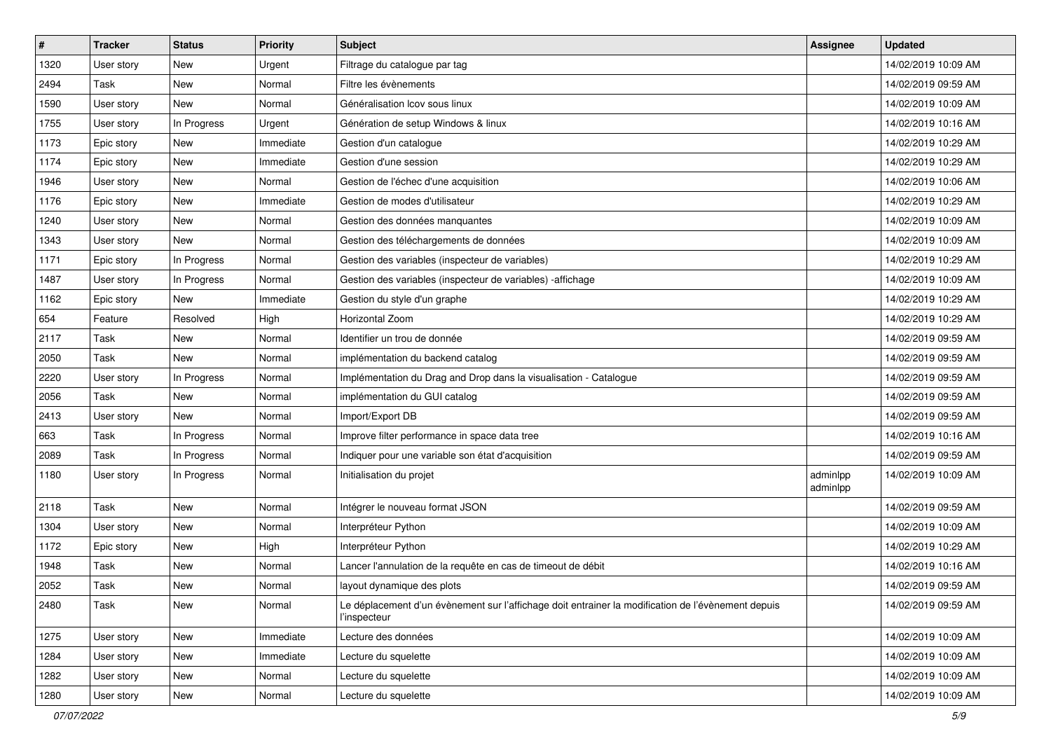| $\vert$ # | <b>Tracker</b> | <b>Status</b> | <b>Priority</b> | <b>Subject</b>                                                                                                     | <b>Assignee</b>      | <b>Updated</b>      |
|-----------|----------------|---------------|-----------------|--------------------------------------------------------------------------------------------------------------------|----------------------|---------------------|
| 1320      | User story     | New           | Urgent          | Filtrage du catalogue par tag                                                                                      |                      | 14/02/2019 10:09 AM |
| 2494      | Task           | <b>New</b>    | Normal          | Filtre les évènements                                                                                              |                      | 14/02/2019 09:59 AM |
| 1590      | User story     | New           | Normal          | Généralisation Icov sous linux                                                                                     |                      | 14/02/2019 10:09 AM |
| 1755      | User story     | In Progress   | Urgent          | Génération de setup Windows & linux                                                                                |                      | 14/02/2019 10:16 AM |
| 1173      | Epic story     | <b>New</b>    | Immediate       | Gestion d'un catalogue                                                                                             |                      | 14/02/2019 10:29 AM |
| 1174      | Epic story     | New           | Immediate       | Gestion d'une session                                                                                              |                      | 14/02/2019 10:29 AM |
| 1946      | User story     | <b>New</b>    | Normal          | Gestion de l'échec d'une acquisition                                                                               |                      | 14/02/2019 10:06 AM |
| 1176      | Epic story     | New           | Immediate       | Gestion de modes d'utilisateur                                                                                     |                      | 14/02/2019 10:29 AM |
| 1240      | User story     | <b>New</b>    | Normal          | Gestion des données manquantes                                                                                     |                      | 14/02/2019 10:09 AM |
| 1343      | User story     | <b>New</b>    | Normal          | Gestion des téléchargements de données                                                                             |                      | 14/02/2019 10:09 AM |
| 1171      | Epic story     | In Progress   | Normal          | Gestion des variables (inspecteur de variables)                                                                    |                      | 14/02/2019 10:29 AM |
| 1487      | User story     | In Progress   | Normal          | Gestion des variables (inspecteur de variables) -affichage                                                         |                      | 14/02/2019 10:09 AM |
| 1162      | Epic story     | New           | Immediate       | Gestion du style d'un graphe                                                                                       |                      | 14/02/2019 10:29 AM |
| 654       | Feature        | Resolved      | High            | <b>Horizontal Zoom</b>                                                                                             |                      | 14/02/2019 10:29 AM |
| 2117      | <b>Task</b>    | <b>New</b>    | Normal          | Identifier un trou de donnée                                                                                       |                      | 14/02/2019 09:59 AM |
| 2050      | Task           | New           | Normal          | implémentation du backend catalog                                                                                  |                      | 14/02/2019 09:59 AM |
| 2220      | User story     | In Progress   | Normal          | Implémentation du Drag and Drop dans la visualisation - Catalogue                                                  |                      | 14/02/2019 09:59 AM |
| 2056      | Task           | <b>New</b>    | Normal          | implémentation du GUI catalog                                                                                      |                      | 14/02/2019 09:59 AM |
| 2413      | User story     | New           | Normal          | Import/Export DB                                                                                                   |                      | 14/02/2019 09:59 AM |
| 663       | Task           | In Progress   | Normal          | Improve filter performance in space data tree                                                                      |                      | 14/02/2019 10:16 AM |
| 2089      | Task           | In Progress   | Normal          | Indiquer pour une variable son état d'acquisition                                                                  |                      | 14/02/2019 09:59 AM |
| 1180      | User story     | In Progress   | Normal          | Initialisation du projet                                                                                           | adminlpp<br>adminlpp | 14/02/2019 10:09 AM |
| 2118      | Task           | New           | Normal          | Intégrer le nouveau format JSON                                                                                    |                      | 14/02/2019 09:59 AM |
| 1304      | User story     | <b>New</b>    | Normal          | Interpréteur Python                                                                                                |                      | 14/02/2019 10:09 AM |
| 1172      | Epic story     | New           | High            | Interpréteur Python                                                                                                |                      | 14/02/2019 10:29 AM |
| 1948      | Task           | New           | Normal          | Lancer l'annulation de la requête en cas de timeout de débit                                                       |                      | 14/02/2019 10:16 AM |
| 2052      | Task           | New           | Normal          | layout dynamique des plots                                                                                         |                      | 14/02/2019 09:59 AM |
| 2480      | Task           | New           | Normal          | Le déplacement d'un évènement sur l'affichage doit entrainer la modification de l'évènement depuis<br>l'inspecteur |                      | 14/02/2019 09:59 AM |
| 1275      | User story     | New           | Immediate       | Lecture des données                                                                                                |                      | 14/02/2019 10:09 AM |
| 1284      | User story     | New           | Immediate       | Lecture du squelette                                                                                               |                      | 14/02/2019 10:09 AM |
| 1282      | User story     | New           | Normal          | Lecture du squelette                                                                                               |                      | 14/02/2019 10:09 AM |
| 1280      | User story     | New           | Normal          | Lecture du squelette                                                                                               |                      | 14/02/2019 10:09 AM |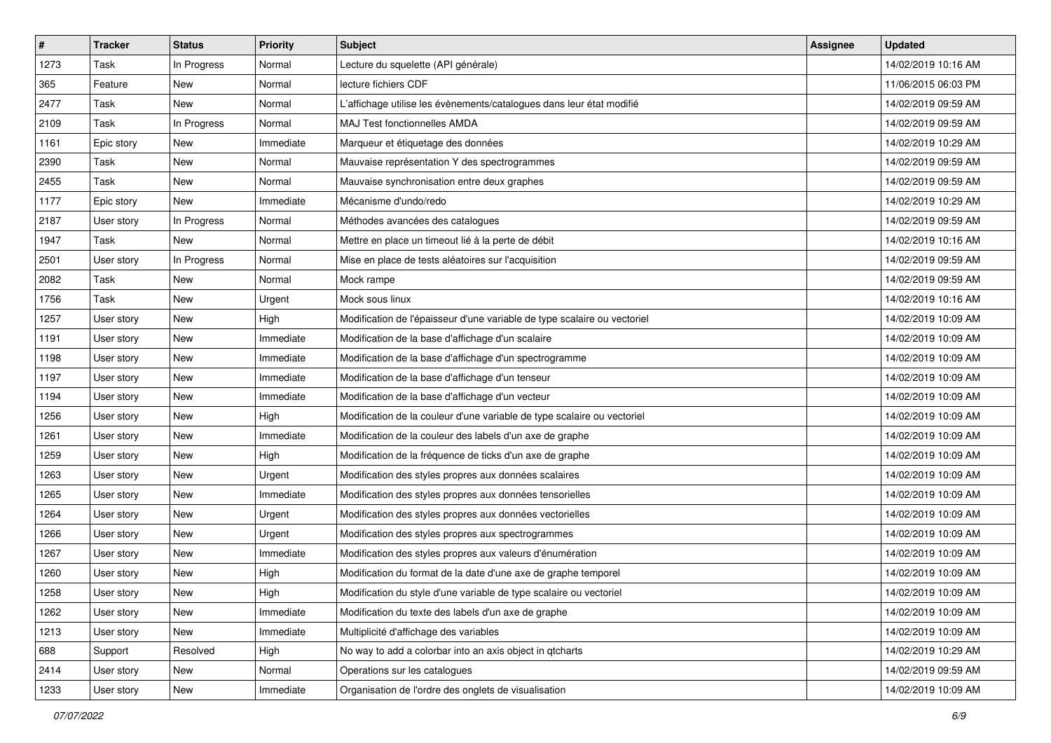| $\vert$ # | <b>Tracker</b> | <b>Status</b> | <b>Priority</b> | <b>Subject</b>                                                           | <b>Assignee</b> | <b>Updated</b>      |
|-----------|----------------|---------------|-----------------|--------------------------------------------------------------------------|-----------------|---------------------|
| 1273      | Task           | In Progress   | Normal          | Lecture du squelette (API générale)                                      |                 | 14/02/2019 10:16 AM |
| 365       | Feature        | <b>New</b>    | Normal          | lecture fichiers CDF                                                     |                 | 11/06/2015 06:03 PM |
| 2477      | Task           | New           | Normal          | L'affichage utilise les évènements/catalogues dans leur état modifié     |                 | 14/02/2019 09:59 AM |
| 2109      | <b>Task</b>    | In Progress   | Normal          | MAJ Test fonctionnelles AMDA                                             |                 | 14/02/2019 09:59 AM |
| 1161      | Epic story     | <b>New</b>    | Immediate       | Marqueur et étiquetage des données                                       |                 | 14/02/2019 10:29 AM |
| 2390      | Task           | New           | Normal          | Mauvaise représentation Y des spectrogrammes                             |                 | 14/02/2019 09:59 AM |
| 2455      | Task           | <b>New</b>    | Normal          | Mauvaise synchronisation entre deux graphes                              |                 | 14/02/2019 09:59 AM |
| 1177      | Epic story     | New           | Immediate       | Mécanisme d'undo/redo                                                    |                 | 14/02/2019 10:29 AM |
| 2187      | User story     | In Progress   | Normal          | Méthodes avancées des catalogues                                         |                 | 14/02/2019 09:59 AM |
| 1947      | Task           | <b>New</b>    | Normal          | Mettre en place un timeout lié à la perte de débit                       |                 | 14/02/2019 10:16 AM |
| 2501      | User story     | In Progress   | Normal          | Mise en place de tests aléatoires sur l'acquisition                      |                 | 14/02/2019 09:59 AM |
| 2082      | <b>Task</b>    | <b>New</b>    | Normal          | Mock rampe                                                               |                 | 14/02/2019 09:59 AM |
| 1756      | Task           | New           | Urgent          | Mock sous linux                                                          |                 | 14/02/2019 10:16 AM |
| 1257      | User story     | <b>New</b>    | High            | Modification de l'épaisseur d'une variable de type scalaire ou vectoriel |                 | 14/02/2019 10:09 AM |
| 1191      | User story     | New           | Immediate       | Modification de la base d'affichage d'un scalaire                        |                 | 14/02/2019 10:09 AM |
| 1198      | User story     | New           | Immediate       | Modification de la base d'affichage d'un spectrogramme                   |                 | 14/02/2019 10:09 AM |
| 1197      | User story     | New           | Immediate       | Modification de la base d'affichage d'un tenseur                         |                 | 14/02/2019 10:09 AM |
| 1194      | User story     | New           | Immediate       | Modification de la base d'affichage d'un vecteur                         |                 | 14/02/2019 10:09 AM |
| 1256      | User story     | New           | High            | Modification de la couleur d'une variable de type scalaire ou vectoriel  |                 | 14/02/2019 10:09 AM |
| 1261      | User story     | <b>New</b>    | Immediate       | Modification de la couleur des labels d'un axe de graphe                 |                 | 14/02/2019 10:09 AM |
| 1259      | User story     | New           | High            | Modification de la fréquence de ticks d'un axe de graphe                 |                 | 14/02/2019 10:09 AM |
| 1263      | User story     | <b>New</b>    | Urgent          | Modification des styles propres aux données scalaires                    |                 | 14/02/2019 10:09 AM |
| 1265      | User story     | <b>New</b>    | Immediate       | Modification des styles propres aux données tensorielles                 |                 | 14/02/2019 10:09 AM |
| 1264      | User story     | New           | Urgent          | Modification des styles propres aux données vectorielles                 |                 | 14/02/2019 10:09 AM |
| 1266      | User story     | New           | Urgent          | Modification des styles propres aux spectrogrammes                       |                 | 14/02/2019 10:09 AM |
| 1267      | User story     | New           | Immediate       | Modification des styles propres aux valeurs d'énumération                |                 | 14/02/2019 10:09 AM |
| 1260      | User story     | <b>New</b>    | High            | Modification du format de la date d'une axe de graphe temporel           |                 | 14/02/2019 10:09 AM |
| 1258      | User story     | New           | High            | Modification du style d'une variable de type scalaire ou vectoriel       |                 | 14/02/2019 10:09 AM |
| 1262      | User story     | New           | Immediate       | Modification du texte des labels d'un axe de graphe                      |                 | 14/02/2019 10:09 AM |
| 1213      | User story     | New           | Immediate       | Multiplicité d'affichage des variables                                   |                 | 14/02/2019 10:09 AM |
| 688       | Support        | Resolved      | High            | No way to add a colorbar into an axis object in gtcharts                 |                 | 14/02/2019 10:29 AM |
| 2414      | User story     | New           | Normal          | Operations sur les catalogues                                            |                 | 14/02/2019 09:59 AM |
| 1233      | User story     | New           | Immediate       | Organisation de l'ordre des onglets de visualisation                     |                 | 14/02/2019 10:09 AM |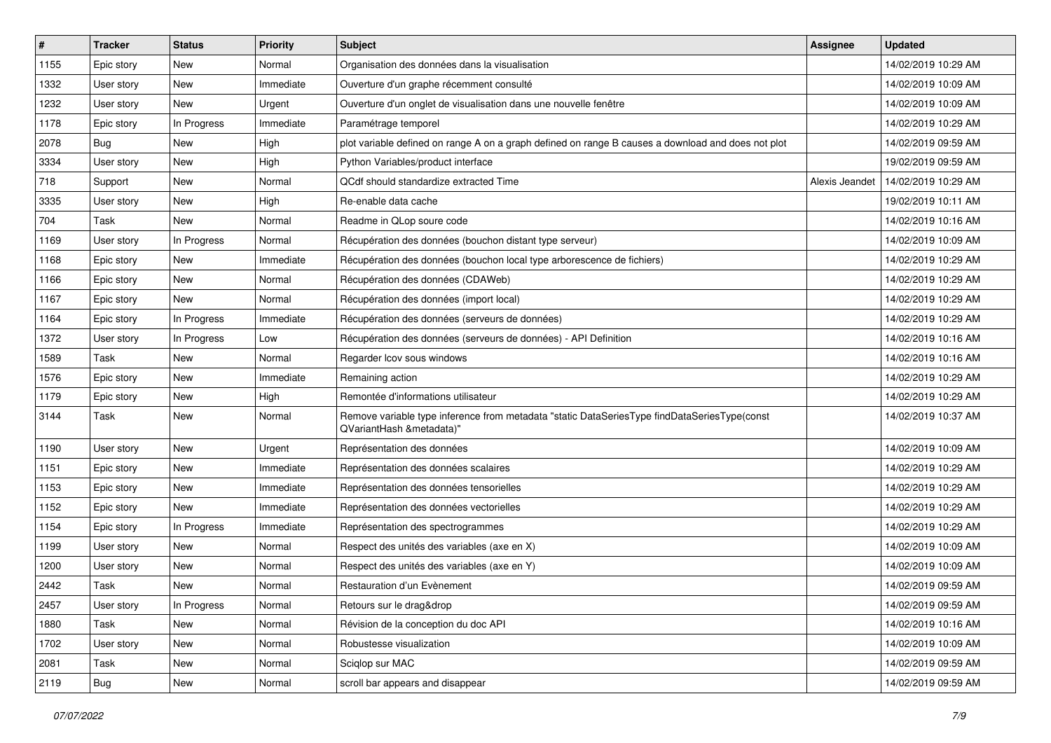| $\vert$ # | <b>Tracker</b> | <b>Status</b> | <b>Priority</b> | Subject                                                                                                                  | Assignee       | <b>Updated</b>      |
|-----------|----------------|---------------|-----------------|--------------------------------------------------------------------------------------------------------------------------|----------------|---------------------|
| 1155      | Epic story     | <b>New</b>    | Normal          | Organisation des données dans la visualisation                                                                           |                | 14/02/2019 10:29 AM |
| 1332      | User story     | New           | Immediate       | Ouverture d'un graphe récemment consulté                                                                                 |                | 14/02/2019 10:09 AM |
| 1232      | User story     | <b>New</b>    | Urgent          | Ouverture d'un onglet de visualisation dans une nouvelle fenêtre                                                         |                | 14/02/2019 10:09 AM |
| 1178      | Epic story     | In Progress   | Immediate       | Paramétrage temporel                                                                                                     |                | 14/02/2019 10:29 AM |
| 2078      | Bug            | <b>New</b>    | High            | plot variable defined on range A on a graph defined on range B causes a download and does not plot                       |                | 14/02/2019 09:59 AM |
| 3334      | User story     | <b>New</b>    | High            | Python Variables/product interface                                                                                       |                | 19/02/2019 09:59 AM |
| 718       | Support        | <b>New</b>    | Normal          | QCdf should standardize extracted Time                                                                                   | Alexis Jeandet | 14/02/2019 10:29 AM |
| 3335      | User story     | New           | High            | Re-enable data cache                                                                                                     |                | 19/02/2019 10:11 AM |
| 704       | Task           | <b>New</b>    | Normal          | Readme in QLop soure code                                                                                                |                | 14/02/2019 10:16 AM |
| 1169      | User story     | In Progress   | Normal          | Récupération des données (bouchon distant type serveur)                                                                  |                | 14/02/2019 10:09 AM |
| 1168      | Epic story     | New           | Immediate       | Récupération des données (bouchon local type arborescence de fichiers)                                                   |                | 14/02/2019 10:29 AM |
| 1166      | Epic story     | <b>New</b>    | Normal          | Récupération des données (CDAWeb)                                                                                        |                | 14/02/2019 10:29 AM |
| 1167      | Epic story     | New           | Normal          | Récupération des données (import local)                                                                                  |                | 14/02/2019 10:29 AM |
| 1164      | Epic story     | In Progress   | Immediate       | Récupération des données (serveurs de données)                                                                           |                | 14/02/2019 10:29 AM |
| 1372      | User story     | In Progress   | Low             | Récupération des données (serveurs de données) - API Definition                                                          |                | 14/02/2019 10:16 AM |
| 1589      | Task           | <b>New</b>    | Normal          | Regarder Icov sous windows                                                                                               |                | 14/02/2019 10:16 AM |
| 1576      | Epic story     | <b>New</b>    | Immediate       | Remaining action                                                                                                         |                | 14/02/2019 10:29 AM |
| 1179      | Epic story     | New           | High            | Remontée d'informations utilisateur                                                                                      |                | 14/02/2019 10:29 AM |
| 3144      | Task           | <b>New</b>    | Normal          | Remove variable type inference from metadata "static DataSeriesType findDataSeriesType(const<br>QVariantHash &metadata)" |                | 14/02/2019 10:37 AM |
| 1190      | User story     | <b>New</b>    | Urgent          | Représentation des données                                                                                               |                | 14/02/2019 10:09 AM |
| 1151      | Epic story     | <b>New</b>    | Immediate       | Représentation des données scalaires                                                                                     |                | 14/02/2019 10:29 AM |
| 1153      | Epic story     | <b>New</b>    | Immediate       | Représentation des données tensorielles                                                                                  |                | 14/02/2019 10:29 AM |
| 1152      | Epic story     | New           | Immediate       | Représentation des données vectorielles                                                                                  |                | 14/02/2019 10:29 AM |
| 1154      | Epic story     | In Progress   | Immediate       | Représentation des spectrogrammes                                                                                        |                | 14/02/2019 10:29 AM |
| 1199      | User story     | New           | Normal          | Respect des unités des variables (axe en X)                                                                              |                | 14/02/2019 10:09 AM |
| 1200      | User story     | <b>New</b>    | Normal          | Respect des unités des variables (axe en Y)                                                                              |                | 14/02/2019 10:09 AM |
| 2442      | Task           | <b>New</b>    | Normal          | Restauration d'un Evènement                                                                                              |                | 14/02/2019 09:59 AM |
| 2457      | User story     | In Progress   | Normal          | Retours sur le drag&drop                                                                                                 |                | 14/02/2019 09:59 AM |
| 1880      | Task           | New           | Normal          | Révision de la conception du doc API                                                                                     |                | 14/02/2019 10:16 AM |
| 1702      | User story     | New           | Normal          | Robustesse visualization                                                                                                 |                | 14/02/2019 10:09 AM |
| 2081      | Task           | New           | Normal          | Sciqlop sur MAC                                                                                                          |                | 14/02/2019 09:59 AM |
| 2119      | <b>Bug</b>     | New           | Normal          | scroll bar appears and disappear                                                                                         |                | 14/02/2019 09:59 AM |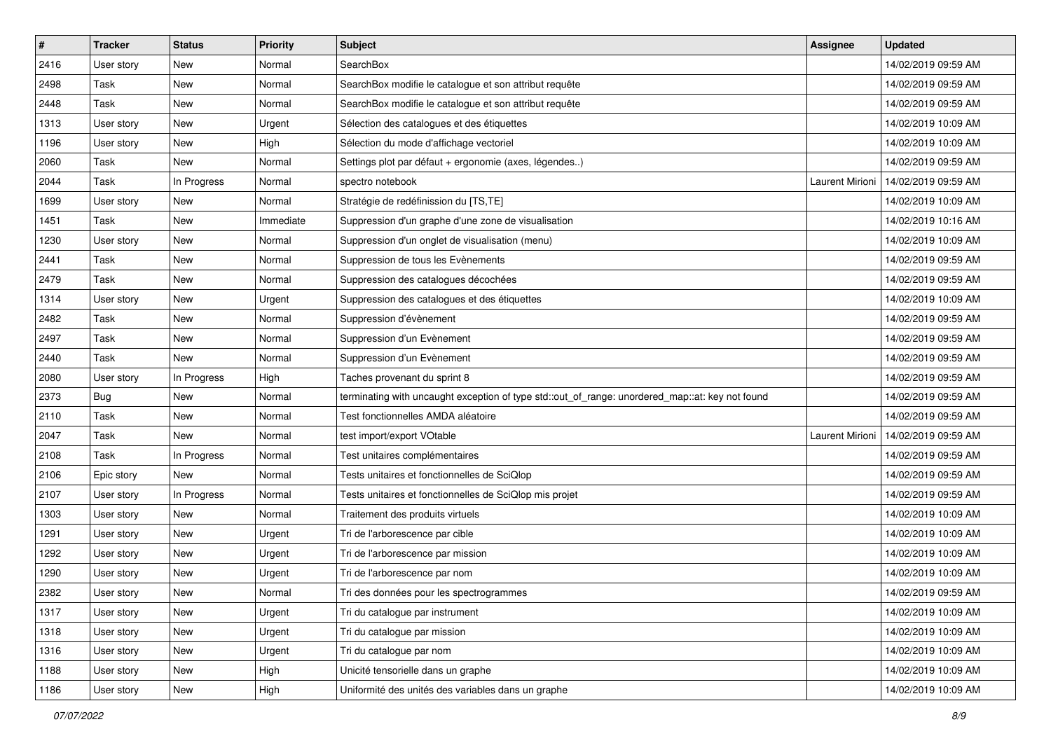| $\vert$ # | <b>Tracker</b> | <b>Status</b> | <b>Priority</b> | <b>Subject</b>                                                                                  | <b>Assignee</b> | <b>Updated</b>      |
|-----------|----------------|---------------|-----------------|-------------------------------------------------------------------------------------------------|-----------------|---------------------|
| 2416      | User story     | New           | Normal          | SearchBox                                                                                       |                 | 14/02/2019 09:59 AM |
| 2498      | Task           | <b>New</b>    | Normal          | SearchBox modifie le catalogue et son attribut requête                                          |                 | 14/02/2019 09:59 AM |
| 2448      | Task           | New           | Normal          | SearchBox modifie le catalogue et son attribut requête                                          |                 | 14/02/2019 09:59 AM |
| 1313      | User story     | <b>New</b>    | Urgent          | Sélection des catalogues et des étiquettes                                                      |                 | 14/02/2019 10:09 AM |
| 1196      | User story     | <b>New</b>    | High            | Sélection du mode d'affichage vectoriel                                                         |                 | 14/02/2019 10:09 AM |
| 2060      | Task           | New           | Normal          | Settings plot par défaut + ergonomie (axes, légendes)                                           |                 | 14/02/2019 09:59 AM |
| 2044      | Task           | In Progress   | Normal          | spectro notebook                                                                                | Laurent Mirioni | 14/02/2019 09:59 AM |
| 1699      | User story     | New           | Normal          | Stratégie de redéfinission du [TS,TE]                                                           |                 | 14/02/2019 10:09 AM |
| 1451      | Task           | <b>New</b>    | Immediate       | Suppression d'un graphe d'une zone de visualisation                                             |                 | 14/02/2019 10:16 AM |
| 1230      | User story     | <b>New</b>    | Normal          | Suppression d'un onglet de visualisation (menu)                                                 |                 | 14/02/2019 10:09 AM |
| 2441      | Task           | New           | Normal          | Suppression de tous les Evènements                                                              |                 | 14/02/2019 09:59 AM |
| 2479      | Task           | New           | Normal          | Suppression des catalogues décochées                                                            |                 | 14/02/2019 09:59 AM |
| 1314      | User story     | New           | Urgent          | Suppression des catalogues et des étiquettes                                                    |                 | 14/02/2019 10:09 AM |
| 2482      | Task           | New           | Normal          | Suppression d'évènement                                                                         |                 | 14/02/2019 09:59 AM |
| 2497      | <b>Task</b>    | New           | Normal          | Suppression d'un Evènement                                                                      |                 | 14/02/2019 09:59 AM |
| 2440      | Task           | New           | Normal          | Suppression d'un Evènement                                                                      |                 | 14/02/2019 09:59 AM |
| 2080      | User story     | In Progress   | High            | Taches provenant du sprint 8                                                                    |                 | 14/02/2019 09:59 AM |
| 2373      | Bug            | <b>New</b>    | Normal          | terminating with uncaught exception of type std::out_of_range: unordered_map::at: key not found |                 | 14/02/2019 09:59 AM |
| 2110      | Task           | New           | Normal          | Test fonctionnelles AMDA aléatoire                                                              |                 | 14/02/2019 09:59 AM |
| 2047      | Task           | New           | Normal          | test import/export VOtable                                                                      | Laurent Mirioni | 14/02/2019 09:59 AM |
| 2108      | Task           | In Progress   | Normal          | Test unitaires complémentaires                                                                  |                 | 14/02/2019 09:59 AM |
| 2106      | Epic story     | New           | Normal          | Tests unitaires et fonctionnelles de SciQlop                                                    |                 | 14/02/2019 09:59 AM |
| 2107      | User story     | In Progress   | Normal          | Tests unitaires et fonctionnelles de SciQlop mis projet                                         |                 | 14/02/2019 09:59 AM |
| 1303      | User story     | New           | Normal          | Traitement des produits virtuels                                                                |                 | 14/02/2019 10:09 AM |
| 1291      | User story     | <b>New</b>    | Urgent          | Tri de l'arborescence par cible                                                                 |                 | 14/02/2019 10:09 AM |
| 1292      | User story     | New           | Urgent          | Tri de l'arborescence par mission                                                               |                 | 14/02/2019 10:09 AM |
| 1290      | User story     | New           | Urgent          | Tri de l'arborescence par nom                                                                   |                 | 14/02/2019 10:09 AM |
| 2382      | User story     | New           | Normal          | Tri des données pour les spectrogrammes                                                         |                 | 14/02/2019 09:59 AM |
| 1317      | User story     | New           | Urgent          | Tri du catalogue par instrument                                                                 |                 | 14/02/2019 10:09 AM |
| 1318      | User story     | New           | Urgent          | Tri du catalogue par mission                                                                    |                 | 14/02/2019 10:09 AM |
| 1316      | User story     | New           | Urgent          | Tri du catalogue par nom                                                                        |                 | 14/02/2019 10:09 AM |
| 1188      | User story     | New           | High            | Unicité tensorielle dans un graphe                                                              |                 | 14/02/2019 10:09 AM |
| 1186      | User story     | New           | High            | Uniformité des unités des variables dans un graphe                                              |                 | 14/02/2019 10:09 AM |